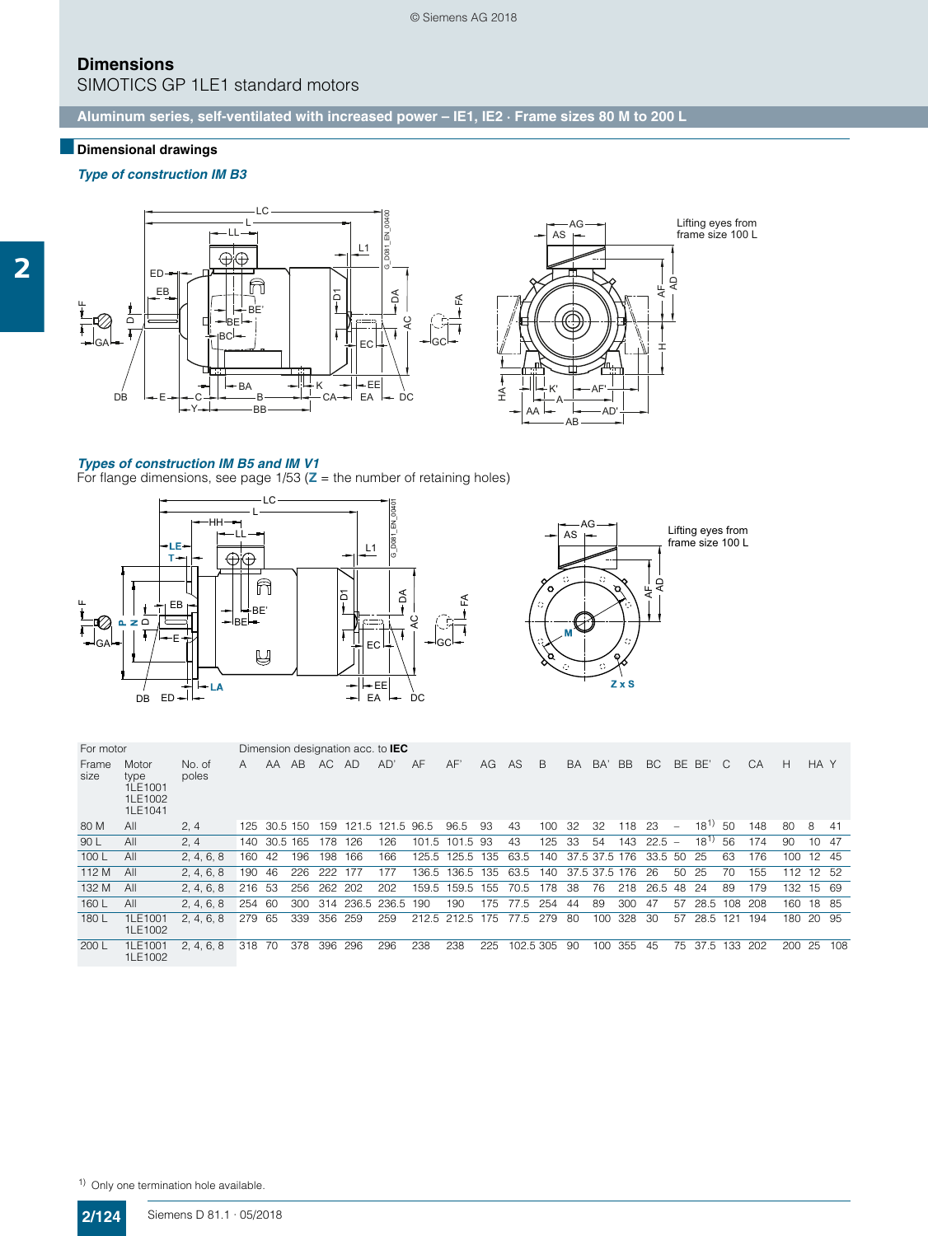© Siemens AG 2018

## **Dimensions**

SIMOTICS GP 1LE1 standard motors

**[Aluminum series, self-ventilated with increased power – IE1, IE2 · Frame sizes 80 M to 200 L](http://www.automation.siemens.com/bilddb/index.aspx?gridview=view2&objkey=G_D081_XX_00400&showdetail=true&view=Search)**

## ■**Dimensional drawings**

*Type of construction IM B3*



#### *[Types of construction IM B5 and IM V1](http://www.automation.siemens.com/bilddb/index.aspx?gridview=view2&objkey=G_D081_XX_00401&showdetail=true&view=Search)*

For flange dimensions, see page 1/53 (**Z** = the number of retaining holes)



| For motor     |                                                |                 | Dimension designation acc. to <b>IEC</b> |              |          |         |                 |                  |       |                 |     |           |     |               |               |           |      |                          |           |     |     |      |                 |     |
|---------------|------------------------------------------------|-----------------|------------------------------------------|--------------|----------|---------|-----------------|------------------|-------|-----------------|-----|-----------|-----|---------------|---------------|-----------|------|--------------------------|-----------|-----|-----|------|-----------------|-----|
| Frame<br>size | Motor<br>type<br>1LE1001<br>1LE1002<br>1LE1041 | No. of<br>poles | A                                        | AA.          | AB       | AC.     | AD              | AD'              | AF    | AF'             | AG  | AS        | B   | <b>BA</b>     | BA'           | <b>BB</b> | BC.  |                          | BE BE'    | C.  | CA  | н    | HA Y            |     |
| 80 M          | All                                            | 2, 4            |                                          | 125 30.5 150 |          | 159     |                 | 121.5 121.5 96.5 |       | 96.5            | 93  | 43        | 100 | 32            | 32            | 118       | -23  | $\overline{\phantom{0}}$ | $18^{11}$ | -50 | 148 | 80   | 8               | 41  |
| 90 L          | All                                            | 2, 4            | 140.                                     |              | 30.5 165 | 178     | 126             | 126              |       | 101.5 101.5 93  |     | 43        | 125 | 33            | 54            | 143       | 22.5 | $\overline{\phantom{a}}$ | $18^{1}$  | 56  | 174 | 90   | 10 <sup>1</sup> | 47  |
| 100L          | All                                            | 2, 4, 6, 8      | 160                                      | 42           | 196      | 198     | 166             | 166              |       | 125.5 125.5 135 |     | 63.5      | 140 |               | 37.5 37.5 176 |           | 33.5 | -50                      | 25        | 63  | 176 | 100  | 12 45           |     |
| 112 M         | All                                            | 2, 4, 6, 8      | 190                                      | 46           | 226      | 222 177 |                 | 177              |       | 136.5 136.5 135 |     | 63.5      | 140 | 37.5 37.5 176 |               |           | - 26 | 50                       | 25        | 70  | 155 | 112  | 12 52           |     |
| 132 M         | All                                            | 2, 4, 6, 8      | 216 53                                   |              | 256      | 262     | 202             | 202              | 159.5 | 159.5           | 155 | 70.5      | 178 | 38            | 76            | 218       | 26.5 | -48                      | 24        | 89  | 179 | 132. | 15 69           |     |
| 160 L         | All                                            | 2, 4, 6, 8      | 254                                      | -60          | 300      |         | 314 236.5 236.5 |                  | 190   | 190             | 175 | 77.5      | 254 | 44            | 89            | 300       | 47   | 57                       | 28.5 108  |     | 208 | 160  | 18 85           |     |
| 180 L         | 1LE1001<br>1LE1002                             | 2, 4, 6, 8      | 279                                      | 65           | 339      | 356 259 |                 | 259              |       | 212.5 212.5 175 |     | 77.5      | 279 | 80            | 100           | 328       | 30   | 57                       | 28.5      | 121 | 194 | 180  | 20 95           |     |
| 200 L         | 1LE1001<br>1LE1002                             | 2, 4, 6, 8      | 318                                      | -70          | 378      | 396     | 296             | 296              | 238   | 238             | 225 | 102.5 305 |     | 90            | 100           | 355       | 45   | 75                       | 37.5      | 133 | 202 | 200  | 25              | 108 |

frame size 100 L